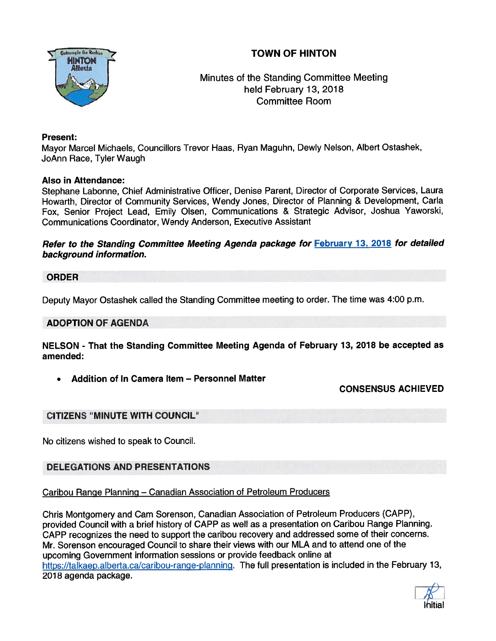# TOWN OF HINTON



# Minutes of the Standing Committee Meeting held February 13, 2018 Committee Room

# Present:

Mayor Marcel Michaels, Councillors Trevor Haas, Ryan Maguhn, Dewly Nelson, Albert Ostashek, JoAnn Race, Tyler Waugh

## Also in Attendance:

Stephane Labonne, Chief Administrative Officer, Denise Parent, Director of Corporate Services, Laura Howarth, Director of Community Services, Wendy Jones, Director of Planning & Development, Carla Fox, Senior Project Lead, Emily Olsen, Communications & Strategic Advisor, Joshua Yaworski, Communications Coordinator, Wendy Anderson, Executive Assistant

Refer to the Standing Committee Meeting Agenda package for February 13, 2018 for detailed background information.

#### ORDER

Deputy Mayor Ostashek called the Standing Committee meeting to order. The time was 4:00 p.m.

## ADOPTION OF AGENDA

NELSON - That the Standing Committee Meeting Agenda of February 13, <sup>2018</sup> be accepted as amended:

•Addition of In Camera Item — Personnel Matter

# CONSENSUS ACHIEVED

# CITIZENS "MINUTE WITH COUNCIL"

No citizens wished to speak to Council.

# DELEGATIONS AND PRESENTATIONS

Caribou Range Planning — Canadian Association of Petroleum Producers

Chris Montgomery and Cam Sorenson, Canadian Association of Petroleum Producers (CAPP), provided Council with <sup>a</sup> brief history of CAPP as well as <sup>a</sup> presentation on Caribou Range Planning. CAPP recognizes the need to suppor<sup>t</sup> the caribou recovery and addressed some of their concerns. Mr. Sorenson encourage<sup>d</sup> Council to share their views with our MLA and to attend one of the upcoming Government information sessions or provide feedback online at https://talkaep.alberta.ca/caribou-range-planning. The full presentation is included in the February 13, 2018 agenda package.

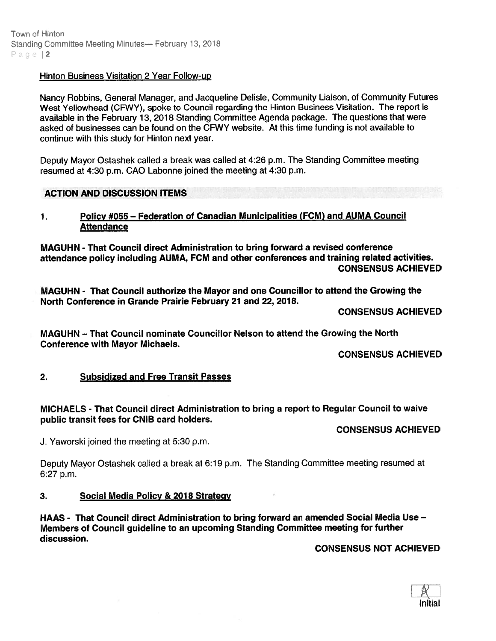## Hinton Business Visitation 2 Year Follow-up

Nancy Robbins, General Manager, and Jacqueline Delisle, Community Liaison, of Community Futures West Yellowhead (CFWY), spoke to Council regarding the Hinton Business Visitation. The repor<sup>t</sup> is available in the February 13, 2018 Standing Committee Agenda package. The questions that were asked of businesses can be found on the CFWY website. At this time funding is not available to continue with this study for Hinton next year.

Deputy Mayor Ostashek called <sup>a</sup> break was called at 4:26 p.m. The Standing Committee meeting resumed at 4:30 p.m. CAO Labonne joined the meeting at 4:30 p.m.

## ACTION AND DISCUSSION ITEMS

#### 1. Policy #055 — Federation of Canadian Municipalities (FCM) and AUMA Council **Attendance**

MAGUHN - That Council direct Administration to bring forward <sup>a</sup> revised conference attendance policy including AUMA, FCM and other conferences and training related activities. CONSENSUS ACHIEVED

MAGUHN - That Council authorize the Mayor and one Councillor to attend the Growing the North Conference in Grande Prairie February 21 and 22, 2018.

CONSENSUS ACHIEVED

MAGUHN — That Council nominate Councillor Nelson to attend the Growing the North Conference with Mayor Michaels.

CONSENSUS ACHIEVED

#### 2. Subsidized and Free Transit Passes

MICHAELS - That Council direct Administration to bring <sup>a</sup> repor<sup>t</sup> to Regular Council to waive public transit fees for CNIB card holders.

CONSENSUS ACHIEVED

J. Yaworski joined the meeting at 5:30 p.m.

Deputy Mayor Ostashek called <sup>a</sup> break at 6:19 p.m. The Standing Committee meeting resumed at 6:27 p.m.

#### 3. Social Media Policy & 2018 Strateqy

HAAS - That Council direct Administration to bring forward an amended Social Media Use — Members of Council guideline to an upcoming Standing Committee meeting for further discussion.

CONSENSUS NOT ACHIEVED